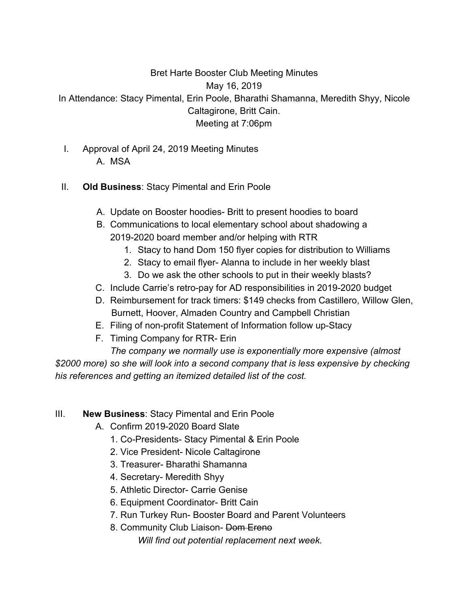# Bret Harte Booster Club Meeting Minutes

May 16, 2019

In Attendance: Stacy Pimental, Erin Poole, Bharathi Shamanna, Meredith Shyy, Nicole Caltagirone, Britt Cain. Meeting at 7:06pm

- I. Approval of April 24, 2019 Meeting Minutes
	- A. MSA
- II. **Old Business**: Stacy Pimental and Erin Poole
	- A. Update on Booster hoodies- Britt to present hoodies to board
	- B. Communications to local elementary school about shadowing a 2019-2020 board member and/or helping with RTR
		- 1. Stacy to hand Dom 150 flyer copies for distribution to Williams
		- 2. Stacy to email flyer- Alanna to include in her weekly blast
		- 3. Do we ask the other schools to put in their weekly blasts?
	- C. Include Carrie's retro-pay for AD responsibilities in 2019-2020 budget
	- D. Reimbursement for track timers: \$149 checks from Castillero, Willow Glen, Burnett, Hoover, Almaden Country and Campbell Christian
	- E. Filing of non-profit Statement of Information follow up-Stacy
	- F. Timing Company for RTR- Erin

*The company we normally use is exponentially more expensive (almost \$2000 more) so she will look into a second company that is less expensive by checking his references and getting an itemized detailed list of the cost.*

## III. **New Business**: Stacy Pimental and Erin Poole

- A. Confirm 2019-2020 Board Slate
	- 1. Co-Presidents- Stacy Pimental & Erin Poole
	- 2. Vice President- Nicole Caltagirone
	- 3. Treasurer- Bharathi Shamanna
	- 4. Secretary- Meredith Shyy
	- 5. Athletic Director- Carrie Genise
	- 6. Equipment Coordinator- Britt Cain
	- 7. Run Turkey Run- Booster Board and Parent Volunteers
	- 8. Community Club Liaison- Dom Ereno *Will find out potential replacement next week.*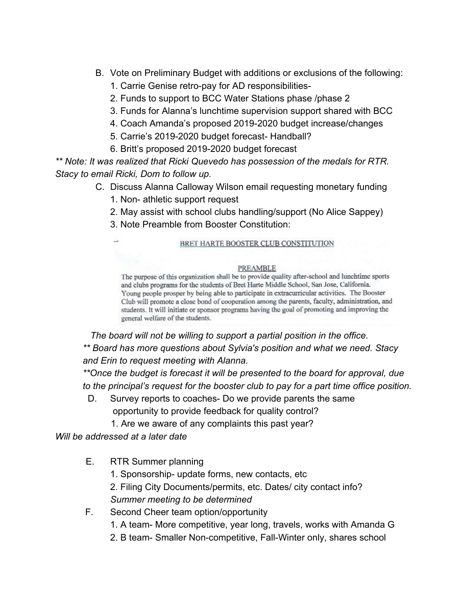- B. Vote on Preliminary Budget with additions or exclusions of the following:
	- 1. Carrie Genise retro-pay for AD responsibilities-
	- 2. Funds to support to BCC Water Stations phase /phase 2
	- 3. Funds for Alanna's lunchtime supervision support shared with BCC
	- 4. Coach Amanda's proposed 2019-2020 budget increase/changes
	- 5. Carrie's 2019-2020 budget forecast- Handball?
	- 6. Britt's proposed 2019-2020 budget forecast

*\*\* Note: It was realized that Ricki Quevedo has possession of the medals for RTR. Stacy to email Ricki, Dom to follow up.*

- C. Discuss Alanna Calloway Wilson email requesting monetary funding
	- 1. Non- athletic support request
	- 2. May assist with school clubs handling/support (No Alice Sappey)
	- 3. Note Preamble from Booster Constitution:

#### BRET HARTE BOOSTER CLUB CONSTITUTION

#### PREAMBLE

The purpose of this organization shall be to provide quality after-school and lunchtime sports and clubs programs for the students of Bret Harte Middle School, San Jose, California. Young people prosper by being able to participate in extracurricular activities. The Booster Club will promote a close bond of cooperation among the parents, faculty, administration, and students. It will initiate or sponsor programs having the goal of promoting and improving the general welfare of the students.

 *The board will not be willing to support a partial position in the office*. *\*\* Board has more questions about Sylvia's position and what we need. Stacy*

*and Erin to request meeting with Alanna.*

*\*\*Once the budget is forecast it will be presented to the board for approval, due to the principal's request for the booster club to pay for a part time office position.*

- D. Survey reports to coaches- Do we provide parents the same opportunity to provide feedback for quality control?
	- 1. Are we aware of any complaints this past year?

*Will be addressed at a later date*

- E. RTR Summer planning
	- 1. Sponsorship- update forms, new contacts, etc
	- 2. Filing City Documents/permits, etc. Dates/ city contact info? *Summer meeting to be determined*
- F. Second Cheer team option/opportunity
	- 1. A team- More competitive, year long, travels, works with Amanda G
	- 2. B team- Smaller Non-competitive, Fall-Winter only, shares school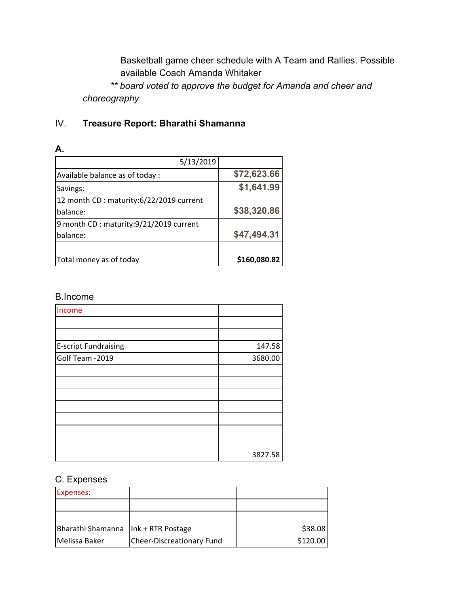Basketball game cheer schedule with A Team and Rallies. Possible available Coach Amanda Whitaker

*\*\* board voted to approve the budget for Amanda and cheer and choreography*

## IV. **Treasure Report: Bharathi Shamanna**

### **A.**

| 5/13/2019                                |              |
|------------------------------------------|--------------|
| Available balance as of today :          | \$72,623.66  |
| Savings:                                 | \$1,641.99   |
| 12 month CD : maturity:6/22/2019 current |              |
| balance:                                 | \$38,320.86  |
| 9 month CD : maturity:9/21/2019 current  |              |
| balance:                                 | \$47,494.31  |
|                                          |              |
| Total money as of today                  | \$160,080.82 |

#### B.Income

| Income                      |         |
|-----------------------------|---------|
|                             |         |
|                             |         |
| <b>E-script Fundraising</b> | 147.58  |
| Golf Team -2019             | 3680.00 |
|                             |         |
|                             |         |
|                             |         |
|                             |         |
|                             |         |
|                             |         |
|                             |         |
|                             | 3827.58 |

### C. Expenses

| Expenses:                             |                           |          |
|---------------------------------------|---------------------------|----------|
|                                       |                           |          |
|                                       |                           |          |
| Bharathi Shamanna   Ink + RTR Postage |                           | \$38.08  |
| lMelissa Baker                        | Cheer-Discreationary Fund | \$120.00 |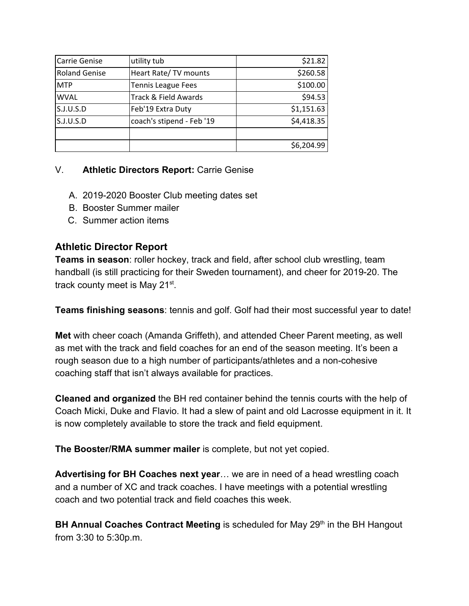| Carrie Genise        | utility tub               | \$21.82    |
|----------------------|---------------------------|------------|
| <b>Roland Genise</b> | Heart Rate/ TV mounts     | \$260.58   |
| <b>MTP</b>           | <b>Tennis League Fees</b> | \$100.00   |
| <b>WVAL</b>          | Track & Field Awards      | \$94.53    |
| S.J.U.S.D            | Feb'19 Extra Duty         | \$1,151.63 |
| S.J.U.S.D            | coach's stipend - Feb '19 | \$4,418.35 |
|                      |                           |            |
|                      |                           | \$6,204.99 |

### V. **Athletic Directors Report:** Carrie Genise

- A. 2019-2020 Booster Club meeting dates set
- B. Booster Summer mailer
- C. Summer action items

### **Athletic Director Report**

**Teams in season**: roller hockey, track and field, after school club wrestling, team handball (is still practicing for their Sweden tournament), and cheer for 2019-20. The track county meet is May 21<sup>st</sup>.

**Teams finishing seasons**: tennis and golf. Golf had their most successful year to date!

**Met** with cheer coach (Amanda Griffeth), and attended Cheer Parent meeting, as well as met with the track and field coaches for an end of the season meeting. It's been a rough season due to a high number of participants/athletes and a non-cohesive coaching staff that isn't always available for practices.

**Cleaned and organized** the BH red container behind the tennis courts with the help of Coach Micki, Duke and Flavio. It had a slew of paint and old Lacrosse equipment in it. It is now completely available to store the track and field equipment.

**The Booster/RMA summer mailer** is complete, but not yet copied.

**Advertising for BH Coaches next year**… we are in need of a head wrestling coach and a number of XC and track coaches. I have meetings with a potential wrestling coach and two potential track and field coaches this week.

BH Annual Coaches Contract Meeting is scheduled for May 29<sup>th</sup> in the BH Hangout from 3:30 to 5:30p.m.